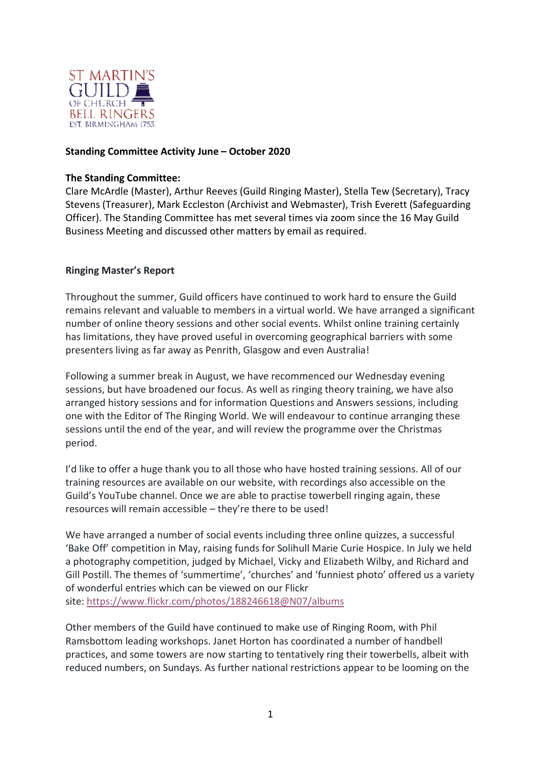

### **Standing Committee Activity June – October 2020**

#### **The Standing Committee:**

Clare McArdle (Master), Arthur Reeves (Guild Ringing Master), Stella Tew (Secretary), Tracy Stevens (Treasurer), Mark Eccleston (Archivist and Webmaster), Trish Everett (Safeguarding Officer). The Standing Committee has met several times via zoom since the 16 May Guild Business Meeting and discussed other matters by email as required.

### **Ringing Master's Report**

Throughout the summer, Guild officers have continued to work hard to ensure the Guild remains relevant and valuable to members in a virtual world. We have arranged a significant number of online theory sessions and other social events. Whilst online training certainly has limitations, they have proved useful in overcoming geographical barriers with some presenters living as far away as Penrith, Glasgow and even Australia!

Following a summer break in August, we have recommenced our Wednesday evening sessions, but have broadened our focus. As well as ringing theory training, we have also arranged history sessions and for information Questions and Answers sessions, including one with the Editor of The Ringing World. We will endeavour to continue arranging these sessions until the end of the year, and will review the programme over the Christmas period.

I'd like to offer a huge thank you to all those who have hosted training sessions. All of our training resources are available on our website, with recordings also accessible on the Guild's YouTube channel. Once we are able to practise towerbell ringing again, these resources will remain accessible – they're there to be used!

We have arranged a number of social events including three online quizzes, a successful 'Bake Off' competition in May, raising funds for Solihull Marie Curie Hospice. In July we held a photography competition, judged by Michael, Vicky and Elizabeth Wilby, and Richard and Gill Postill. The themes of 'summertime', 'churches' and 'funniest photo' offered us a variety of wonderful entries which can be viewed on our Flickr site: <https://www.flickr.com/photos/188246618@N07/albums>

Other members of the Guild have continued to make use of Ringing Room, with Phil Ramsbottom leading workshops. Janet Horton has coordinated a number of handbell practices, and some towers are now starting to tentatively ring their towerbells, albeit with reduced numbers, on Sundays. As further national restrictions appear to be looming on the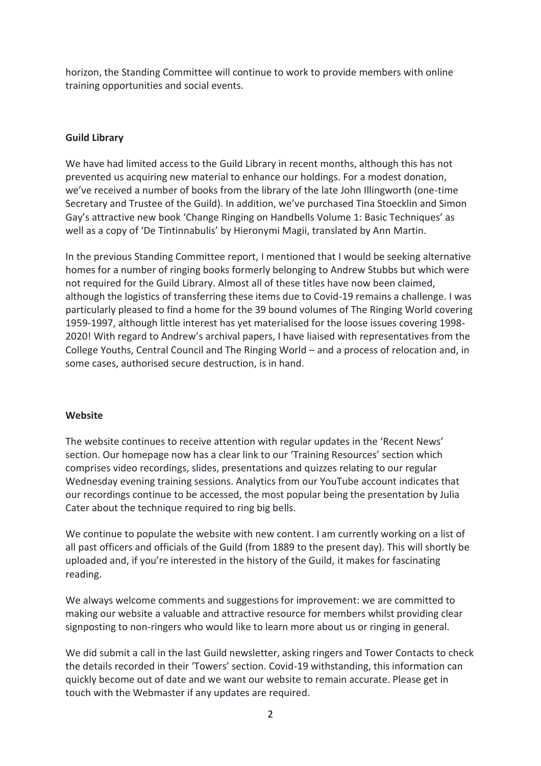horizon, the Standing Committee will continue to work to provide members with online training opportunities and social events.

# **Guild Library**

We have had limited access to the Guild Library in recent months, although this has not prevented us acquiring new material to enhance our holdings. For a modest donation, we've received a number of books from the library of the late John Illingworth (one-time Secretary and Trustee of the Guild). In addition, we've purchased Tina Stoecklin and Simon Gay's attractive new book 'Change Ringing on Handbells Volume 1: Basic Techniques' as well as a copy of 'De Tintinnabulis' by Hieronymi Magii, translated by Ann Martin.

In the previous Standing Committee report, I mentioned that I would be seeking alternative homes for a number of ringing books formerly belonging to Andrew Stubbs but which were not required for the Guild Library. Almost all of these titles have now been claimed, although the logistics of transferring these items due to Covid-19 remains a challenge. I was particularly pleased to find a home for the 39 bound volumes of The Ringing World covering 1959-1997, although little interest has yet materialised for the loose issues covering 1998- 2020! With regard to Andrew's archival papers, I have liaised with representatives from the College Youths, Central Council and The Ringing World – and a process of relocation and, in some cases, authorised secure destruction, is in hand.

# **Website**

The website continues to receive attention with regular updates in the 'Recent News' section. Our homepage now has a clear link to our 'Training Resources' section which comprises video recordings, slides, presentations and quizzes relating to our regular Wednesday evening training sessions. Analytics from our YouTube account indicates that our recordings continue to be accessed, the most popular being the presentation by Julia Cater about the technique required to ring big bells.

We continue to populate the website with new content. I am currently working on a list of all past officers and officials of the Guild (from 1889 to the present day). This will shortly be uploaded and, if you're interested in the history of the Guild, it makes for fascinating reading.

We always welcome comments and suggestions for improvement: we are committed to making our website a valuable and attractive resource for members whilst providing clear signposting to non-ringers who would like to learn more about us or ringing in general.

We did submit a call in the last Guild newsletter, asking ringers and Tower Contacts to check the details recorded in their 'Towers' section. Covid-19 withstanding, this information can quickly become out of date and we want our website to remain accurate. Please get in touch with the Webmaster if any updates are required.